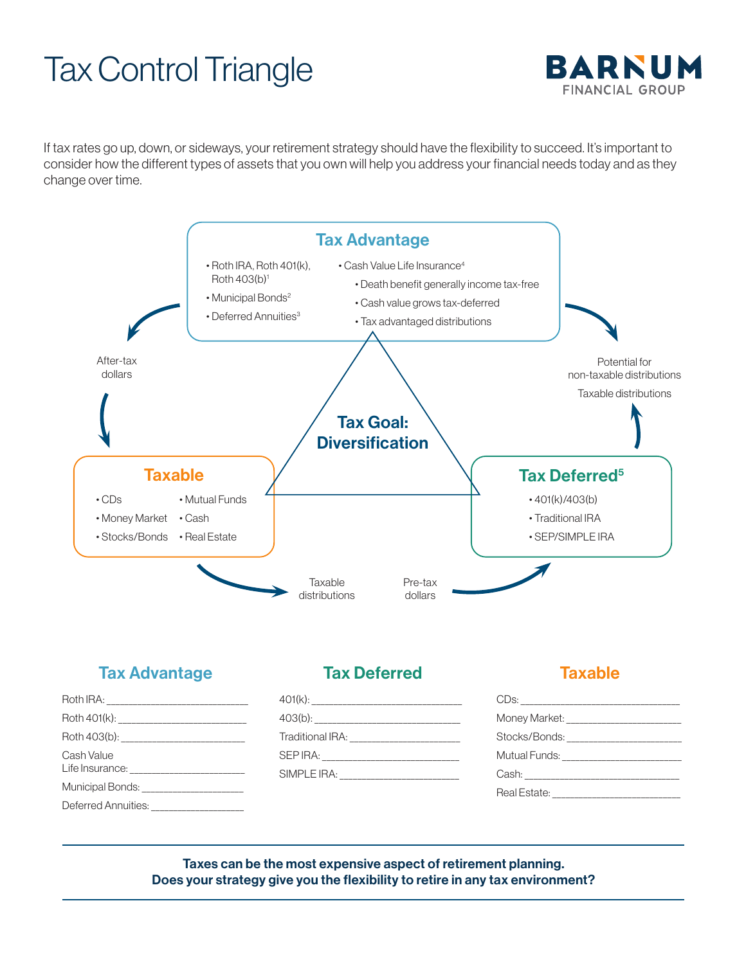## Tax Control Triangle



If tax rates go up, down, or sideways, your retirement strategy should have the flexibility to succeed. It's important to consider how the different types of assets that you own will help you address your financial needs today and as they change over time.



## Tax Advantage

| Cash Value                               |  |
|------------------------------------------|--|
| Municipal Bonds: _______________________ |  |
| Deferred Annuities: ___________________  |  |

## Tax Deferred

## **Taxable**

| SIMPLE IRA: |  |
|-------------|--|
|             |  |

| Stocks/Bonds: ________________________ |
|----------------------------------------|
|                                        |
|                                        |
|                                        |

Taxes can be the most expensive aspect of retirement planning. Does your strategy give you the flexibility to retire in any tax environment?